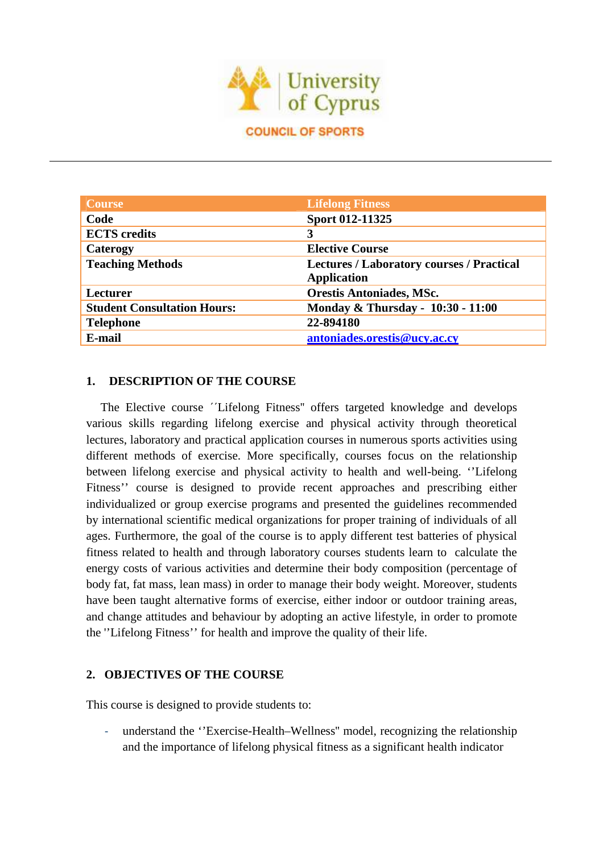

| Course                             | <b>Lifelong Fitness</b>                          |
|------------------------------------|--------------------------------------------------|
| Code                               | Sport 012-11325                                  |
| <b>ECTS</b> credits                | 3                                                |
| Caterogy                           | <b>Elective Course</b>                           |
| <b>Teaching Methods</b>            | <b>Lectures / Laboratory courses / Practical</b> |
|                                    | <b>Application</b>                               |
| <b>Lecturer</b>                    | <b>Orestis Antoniades, MSc.</b>                  |
| <b>Student Consultation Hours:</b> | Monday & Thursday - 10:30 - 11:00                |
| <b>Telephone</b>                   | 22-894180                                        |
| E-mail                             | antoniades.orestis@ucy.ac.cy                     |

#### **1. DESCRIPTION OF THE COURSE**

The Elective course ΄΄Lifelong Fitness'' offers targeted knowledge and develops various skills regarding lifelong exercise and physical activity through theoretical lectures, laboratory and practical application courses in numerous sports activities using different methods of exercise. More specifically, courses focus on the relationship between lifelong exercise and physical activity to health and well-being. ''Lifelong Fitness'' course is designed to provide recent approaches and prescribing either individualized or group exercise programs and presented the guidelines recommended by international scientific medical organizations for proper training of individuals of all ages. Furthermore, the goal of the course is to apply different test batteries of physical fitness related to health and through laboratory courses students learn to calculate the energy costs of various activities and determine their body composition (percentage of body fat, fat mass, lean mass) in order to manage their body weight. Moreover, students have been taught alternative forms of exercise, either indoor or outdoor training areas, and change attitudes and behaviour by adopting an active lifestyle, in order to promote the ''Lifelong Fitness'' for health and improve the quality of their life.

#### **2. OBJECTIVES OF THE COURSE**

This course is designed to provide students to:

understand the "Exercise-Health–Wellness" model, recognizing the relationship and the importance of lifelong physical fitness as a significant health indicator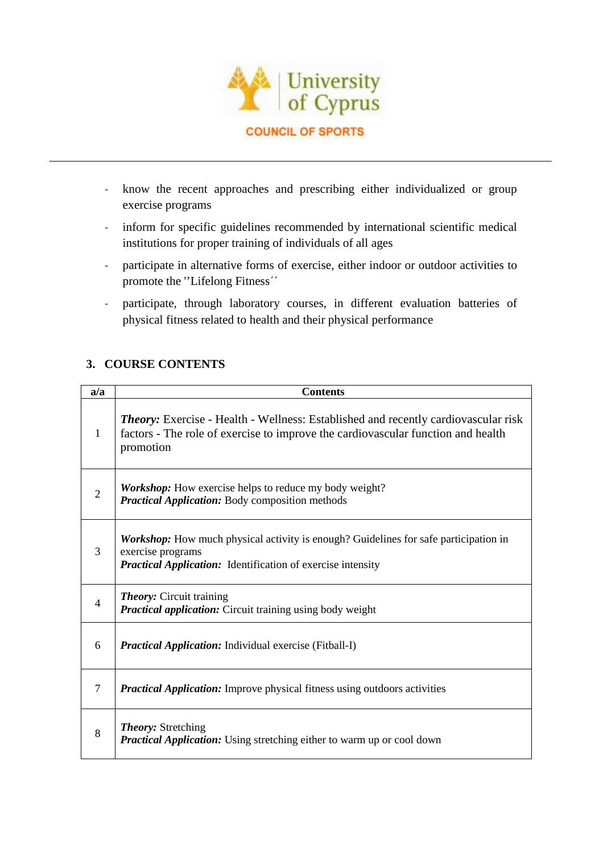

- know the recent approaches and prescribing either individualized or group exercise programs
- inform for specific guidelines recommended by international scientific medical institutions for proper training of individuals of all ages
- participate in alternative forms of exercise, either indoor or outdoor activities to promote the ''Lifelong Fitness΄΄
- participate, through laboratory courses, in different evaluation batteries of physical fitness related to health and their physical performance

## **3. COURSE CONTENTS**

| a/a            | <b>Contents</b>                                                                                                                                                                            |
|----------------|--------------------------------------------------------------------------------------------------------------------------------------------------------------------------------------------|
| 1              | <b>Theory:</b> Exercise - Health - Wellness: Established and recently cardiovascular risk<br>factors - The role of exercise to improve the cardiovascular function and health<br>promotion |
| $\overline{2}$ | <b>Workshop:</b> How exercise helps to reduce my body weight?<br><b>Practical Application:</b> Body composition methods                                                                    |
| 3              | <b>Workshop:</b> How much physical activity is enough? Guidelines for safe participation in<br>exercise programs<br><b>Practical Application:</b> Identification of exercise intensity     |
| $\overline{4}$ | <b>Theory:</b> Circuit training<br><b>Practical application:</b> Circuit training using body weight                                                                                        |
| 6              | <b>Practical Application:</b> Individual exercise (Fitball-I)                                                                                                                              |
| 7              | <b>Practical Application:</b> Improve physical fitness using outdoors activities                                                                                                           |
| 8              | <b>Theory:</b> Stretching<br><b>Practical Application:</b> Using stretching either to warm up or cool down                                                                                 |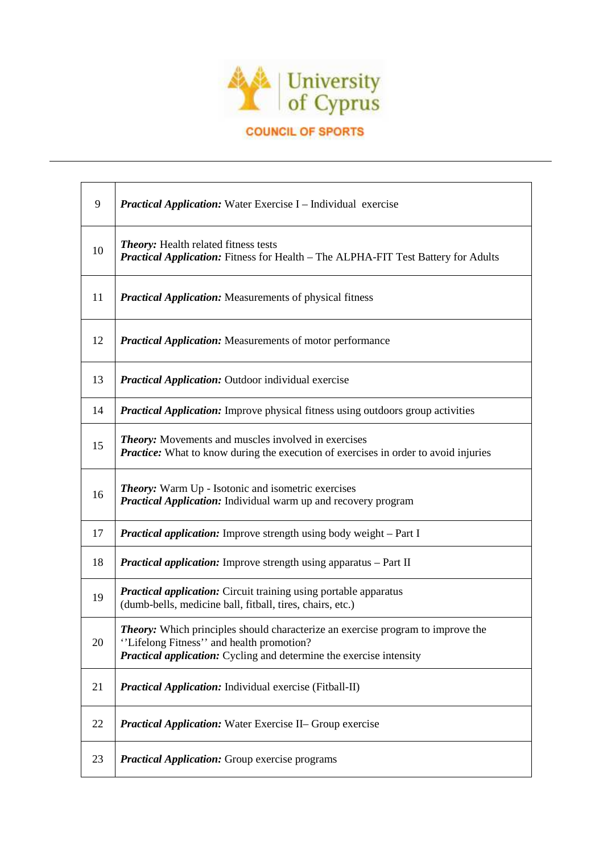

# **COUNCIL OF SPORTS**

| 9  | <b>Practical Application:</b> Water Exercise I – Individual exercise                                                                                                                                            |
|----|-----------------------------------------------------------------------------------------------------------------------------------------------------------------------------------------------------------------|
| 10 | <b>Theory:</b> Health related fitness tests<br><b>Practical Application:</b> Fitness for Health – The ALPHA-FIT Test Battery for Adults                                                                         |
| 11 | <b>Practical Application:</b> Measurements of physical fitness                                                                                                                                                  |
| 12 | <b>Practical Application:</b> Measurements of motor performance                                                                                                                                                 |
| 13 | <b>Practical Application:</b> Outdoor individual exercise                                                                                                                                                       |
| 14 | <b>Practical Application:</b> Improve physical fitness using outdoors group activities                                                                                                                          |
| 15 | Theory: Movements and muscles involved in exercises<br><b>Practice:</b> What to know during the execution of exercises in order to avoid injuries                                                               |
| 16 | <b>Theory:</b> Warm Up - Isotonic and isometric exercises<br><b>Practical Application:</b> Individual warm up and recovery program                                                                              |
| 17 | <b>Practical application:</b> Improve strength using body weight – Part I                                                                                                                                       |
| 18 | <b>Practical application:</b> Improve strength using apparatus - Part II                                                                                                                                        |
| 19 | <b>Practical application:</b> Circuit training using portable apparatus<br>(dumb-bells, medicine ball, fitball, tires, chairs, etc.)                                                                            |
| 20 | <b>Theory:</b> Which principles should characterize an exercise program to improve the<br>Lifelong Fitness" and health promotion?<br><b>Practical application:</b> Cycling and determine the exercise intensity |
| 21 | <b>Practical Application:</b> Individual exercise (Fitball-II)                                                                                                                                                  |
| 22 | <b>Practical Application:</b> Water Exercise II- Group exercise                                                                                                                                                 |
| 23 | <b>Practical Application:</b> Group exercise programs                                                                                                                                                           |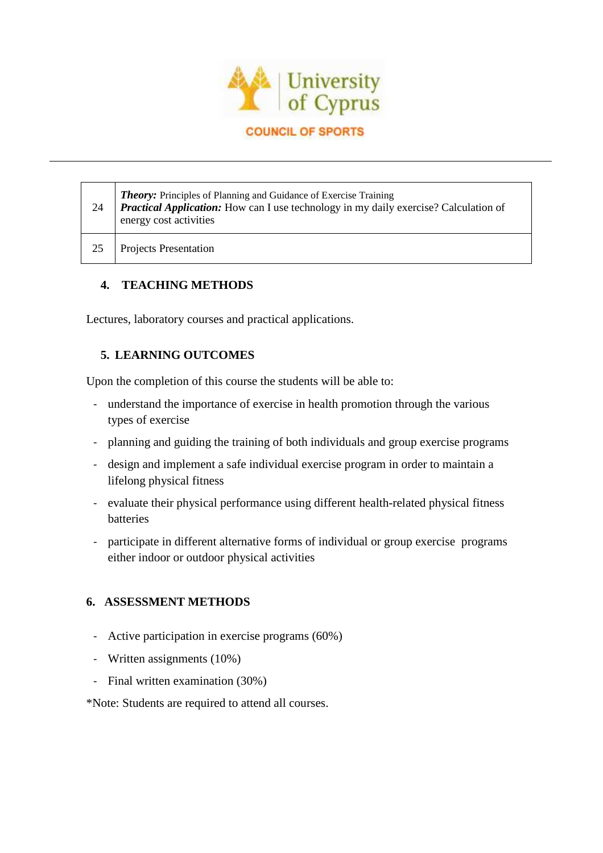

#### **COUNCIL OF SPORTS**

| 24 | <b>Theory:</b> Principles of Planning and Guidance of Exercise Training<br><b>Practical Application:</b> How can I use technology in my daily exercise? Calculation of<br>energy cost activities |
|----|--------------------------------------------------------------------------------------------------------------------------------------------------------------------------------------------------|
|    | <b>Projects Presentation</b>                                                                                                                                                                     |

## **4. TEACHING METHODS**

Lectures, laboratory courses and practical applications.

## **5. LEARNING OUTCOMES**

Upon the completion of this course the students will be able to:

- understand the importance of exercise in health promotion through the various types of exercise
- planning and guiding the training of both individuals and group exercise programs
- design and implement a safe individual exercise program in order to maintain a lifelong physical fitness
- evaluate their physical performance using different health-related physical fitness batteries
- participate in different alternative forms of individual or group exercise programs either indoor or outdoor physical activities

## **6. ASSESSMENT METHODS**

- Active participation in exercise programs (60%)
- Written assignments (10%)
- Final written examination (30%)

\*Note: Students are required to attend all courses.